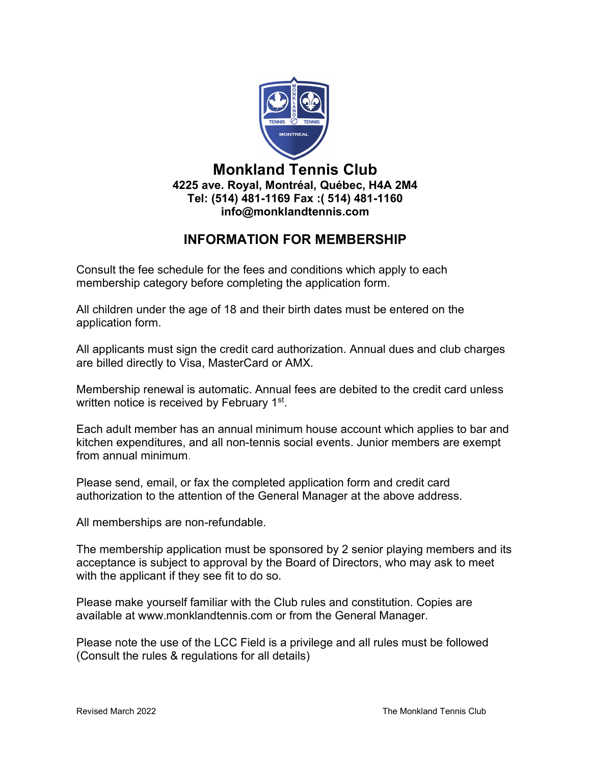

### Monkland Tennis Club 4225 ave. Royal, Montréal, Québec, H4A 2M4 Tel: (514) 481-1169 Fax :( 514) 481-1160 info@monklandtennis.com

# INFORMATION FOR MEMBERSHIP

Consult the fee schedule for the fees and conditions which apply to each membership category before completing the application form.

All children under the age of 18 and their birth dates must be entered on the application form.

All applicants must sign the credit card authorization. Annual dues and club charges are billed directly to Visa, MasterCard or AMX.

Membership renewal is automatic. Annual fees are debited to the credit card unless written notice is received by February 1<sup>st</sup>.

Each adult member has an annual minimum house account which applies to bar and kitchen expenditures, and all non-tennis social events. Junior members are exempt from annual minimum.

Please send, email, or fax the completed application form and credit card authorization to the attention of the General Manager at the above address.

All memberships are non-refundable.

The membership application must be sponsored by 2 senior playing members and its acceptance is subject to approval by the Board of Directors, who may ask to meet with the applicant if they see fit to do so.

Please make yourself familiar with the Club rules and constitution. Copies are available at www.monklandtennis.com or from the General Manager.

Please note the use of the LCC Field is a privilege and all rules must be followed (Consult the rules & regulations for all details)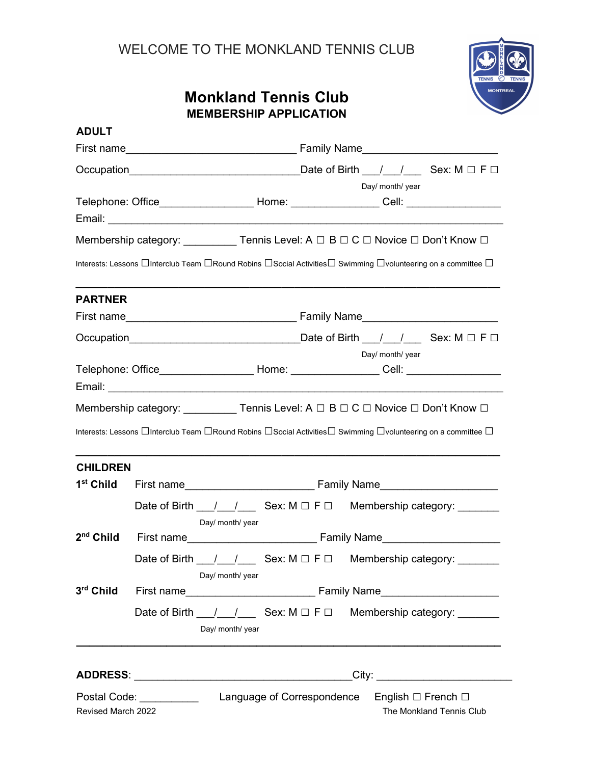## Monkland Tennis Club MEMBERSHIP APPLICATION



| <b>ADULT</b>          |                                                                                                              |  |                                                                                   |                  |                          |
|-----------------------|--------------------------------------------------------------------------------------------------------------|--|-----------------------------------------------------------------------------------|------------------|--------------------------|
|                       |                                                                                                              |  |                                                                                   |                  |                          |
|                       |                                                                                                              |  |                                                                                   |                  |                          |
|                       | Telephone: Office_______________________Home: ___________________Cell: _________________                     |  |                                                                                   | Day/ month/ year |                          |
|                       | Membership category: ___________Tennis Level: A $\Box$ B $\Box$ C $\Box$ Novice $\Box$ Don't Know $\Box$     |  |                                                                                   |                  |                          |
|                       | Interests: Lessons □Interclub Team □Round Robins □Social Activities□ Swimming □volunteering on a committee □ |  |                                                                                   |                  |                          |
| <b>PARTNER</b>        |                                                                                                              |  |                                                                                   |                  |                          |
|                       |                                                                                                              |  |                                                                                   |                  |                          |
|                       |                                                                                                              |  |                                                                                   | Day/ month/ year |                          |
|                       |                                                                                                              |  | Telephone: Office______________________Home: __________________Cell: ____________ |                  |                          |
|                       | Membership category: ____________Tennis Level: A □ B □ C □ Novice □ Don't Know □                             |  |                                                                                   |                  |                          |
| <b>CHILDREN</b>       | Interests: Lessons □Interclub Team □Round Robins □Social Activities□ Swimming □volunteering on a committee □ |  |                                                                                   |                  |                          |
| 1 <sup>st</sup> Child |                                                                                                              |  |                                                                                   |                  |                          |
|                       | Date of Birth __/__/_____ Sex: M □ F □ Membership category: _______<br>Day/ month/ year                      |  |                                                                                   |                  |                          |
| 2 <sup>nd</sup> Child |                                                                                                              |  |                                                                                   |                  |                          |
|                       | Date of Birth __/__/_____ Sex: M □ F □ Membership category: _______<br>Day/ month/ year                      |  |                                                                                   |                  |                          |
| 3rd Child             |                                                                                                              |  |                                                                                   |                  |                          |
|                       | Date of Birth __/__/_____ Sex: M □ F □ Membership category: _______<br>Day/ month/ year                      |  |                                                                                   |                  |                          |
|                       |                                                                                                              |  |                                                                                   |                  |                          |
| Revised March 2022    |                                                                                                              |  |                                                                                   |                  | The Monkland Tennis Club |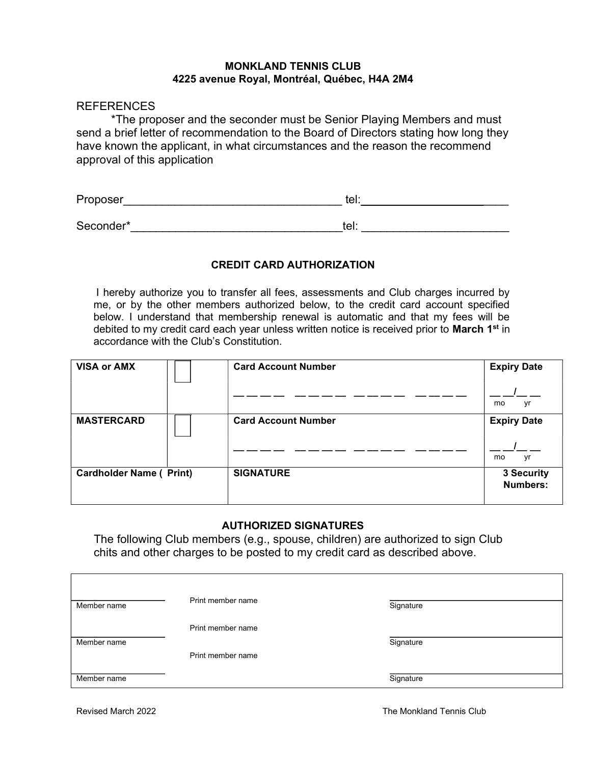#### MONKLAND TENNIS CLUB 4225 avenue Royal, Montréal, Québec, H4A 2M4

#### **REFERENCES**

 \*The proposer and the seconder must be Senior Playing Members and must send a brief letter of recommendation to the Board of Directors stating how long they have known the applicant, in what circumstances and the reason the recommend approval of this application

| Proposer  | יו ∼י<br>נכו. |  |
|-----------|---------------|--|
|           |               |  |
| Seconder* | tel:          |  |

#### CREDIT CARD AUTHORIZATION

I hereby authorize you to transfer all fees, assessments and Club charges incurred by me, or by the other members authorized below, to the credit card account specified below. I understand that membership renewal is automatic and that my fees will be debited to my credit card each year unless written notice is received prior to March 1<sup>st</sup> in accordance with the Club's Constitution.

| <b>VISA or AMX</b>             |  | <b>Card Account Number</b> | <b>Expiry Date</b>            |
|--------------------------------|--|----------------------------|-------------------------------|
|                                |  |                            | yr<br>mo                      |
| <b>MASTERCARD</b>              |  | <b>Card Account Number</b> | <b>Expiry Date</b>            |
|                                |  |                            | yr<br>mo                      |
| <b>Cardholder Name (Print)</b> |  | <b>SIGNATURE</b>           | 3 Security<br><b>Numbers:</b> |

#### AUTHORIZED SIGNATURES

The following Club members (e.g., spouse, children) are authorized to sign Club chits and other charges to be posted to my credit card as described above.

| Member name | Print member name | Signature |  |
|-------------|-------------------|-----------|--|
|             | Print member name |           |  |
| Member name |                   | Signature |  |
|             | Print member name |           |  |
| Member name |                   | Signature |  |